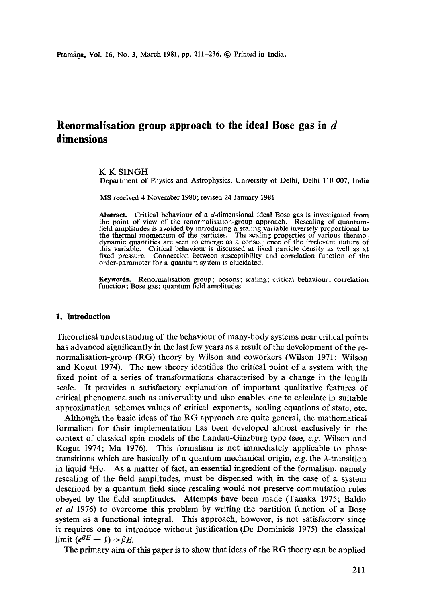# **Renormalisation group approach to the ideal Bose gas in d dimensions**

### K K SINGH

Department of Physics and Astrophysics, University of Delhi, Delhi 110 007, India

MS received 4 November 1980; revised 24 January 1981

Abstract. Critical behaviour of a  $d$ -dimensional ideal Bose gas is investigated from the point of view of the renormalisation-group approach. Rescaling of quantumfield amplitudes is avoided by introducing a scaling variable inversely proportional to the thermal momentum of the particles. The scaling properties of various thermodynamic quantities are seen to emerge as a consequence of the irrelevant nature of this variable. Critical behaviour is discussed at fixed particle density as well as at fixed pressure. Connection between susceptibility and correlation function of the order-parameter for a quantum system is elucidated.

**Keywords.** Renormalisation group; bosons; scaling; critical behaviour; correlation function; Bose gas; quantum field amplitudes.

### **1. Introduction**

Theoretical understanding of the behaviour of many-body systems near critical points has advanced significantly in the last few years as a result of the development of the renormalisation-group (RG) theory by Wilson and coworkers (Wilson 1971; Wilson and Kogut 1974). The new theory identifies the critical point of a system with the fixed point of a series of transformations characterised by a change in the length scale. It provides a satisfactory explanation of important qualitative features of critical phenomena such as universality and also enables one to calculate in suitable approximation schemes values of critical exponents, scaling equations of state, etc.

Although the basic ideas of the RG approach are quite general, the mathematical formalism for their implementation has been developed almost exclusively in the context of classical spin models of the Landau-Ginzburg type (see, *e.g.* Wilson and Kogut 1974; Ma 1976). This formalism is not immediately applicable to phase transitions which are basically of a quantum mechanical origin,  $e.g.$  the  $\lambda$ -transition in liquid 4He. As a matter of fact, an essential ingredient of the formalism, namely rescaling of the field amplitudes, must be dispensed with in the case of a system described by a quantum field since rescaling would not preserve commutation rules obeyed by the field amplitudes. Attempts have been made (Tanaka 1975; Baldo *et al* 1976) to overcome this problem by writing the partition function of a Bose system as a functional integral. This approach, however, is not satisfactory since it requires one to introduce without justification (De Dominicis 1975) the classical  $\lim_{\epsilon \to 0} (e^{\beta E} - 1) \rightarrow \beta E$ .

The primary aim of this paper is to show that ideas of the RG theory can be applied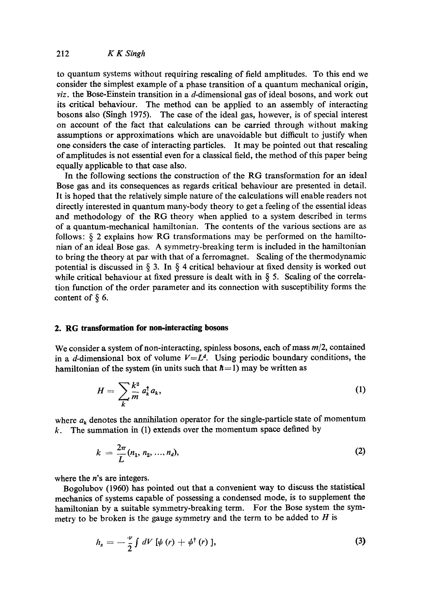to quantum systems without requiring rescaling of field amplitudes. To this end we consider the simplest example of a phase transition of a quantum mechanical origin, *viz.* the Bose-Einstein transition in a d-dimensional gas of ideal bosons, and work out its critical behaviour. The method can be applied to an assembly of interacting bosons also (Singh 1975). The case of the ideal gas, however, is of special interest on account of the fact that calculations can be carried through without making assumptions or approximations which are unavoidable but difficult to justify when one considers the case of interacting particles. It may be pointed out that rescaling of amplitudes is not essential even for a classical field, the method of this paper being equally applicable to that case also.

In the following sections the construction of the RG transformation for an ideal Bose gas and its consequences as regards critical behaviour are presented in detail. It is hoped that the relatively simple nature of the calculations will enable readers not directly interested in quantum many-body theory to get a feeling of the essential ideas and methodology of the RG theory when applied to a system described in terms of a quantum-mechanical hamiltonian. The contents of the various sections are as follows: § 2 explains how RG transformations may be performed on the hamiltonian of an ideal Bose gas. A symmetry-breaking term is included in the hamiltonian to bring the theory at par with that of a ferromagnet. Scaling of the thermodynamic potential is discussed in  $\S$  3. In  $\S$  4 critical behaviour at fixed density is worked out while critical behaviour at fixed pressure is dealt with in  $\S$  5. Scaling of the correlation function of the order parameter and its connection with susceptibility forms the content of  $\S$  6.

# **2. RG transformation for non-interacting bosons**

We consider a system of non-interacting, spinless bosons, each of mass *m/2,* contained in a d-dimensional box of volume  $V=L^d$ . Using periodic boundary conditions, the hamiltonian of the system (in units such that  $\hbar=1$ ) may be written as

$$
H = \sum_{k} \frac{k^2}{m} a_k^{\dagger} a_k,
$$
 (1)

where  $a_k$  denotes the annihilation operator for the single-particle state of momentum  $k$ . The summation in (1) extends over the momentum space defined by

$$
k = \frac{2\pi}{L}(n_1, n_2, ..., n_d),
$$
 (2)

where the  $n$ 's are integers.

Bogolubov (1960) has pointed out that a convenient way to discuss the statistical mechanics of systems capable of possessing a condensed mode, is to supplement the hamiltonian by a suitable symmetry-breaking term. For the Bose system the symmetry to be broken is the gauge symmetry and the term to be added to  $H$  is

$$
h_s = -\frac{\nu}{2} \int dV \left[ \psi \left( r \right) + \psi^\dagger \left( r \right) \right], \tag{3}
$$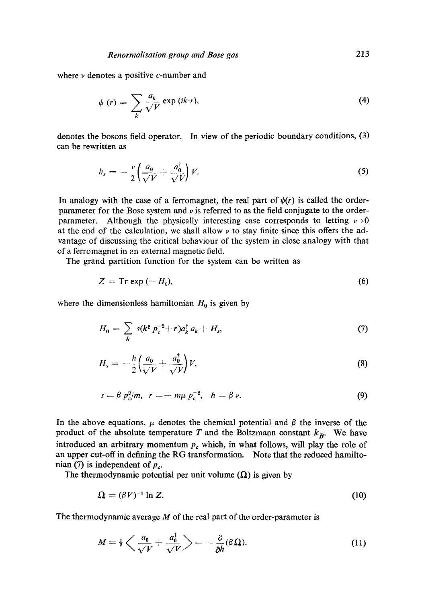where  $\nu$  denotes a positive c-number and

$$
\psi(r) = \sum_{k} \frac{a_k}{\sqrt{V}} \exp(ik \cdot r), \tag{4}
$$

denotes the bosons field operator. In view of the periodic boundary conditions, (3) can be rewritten as

$$
h_s = -\frac{\nu}{2} \left( \frac{a_0}{\sqrt{V}} + \frac{a_0^{\dagger}}{\sqrt{V}} \right) V. \tag{5}
$$

In analogy with the case of a ferromagnet, the real part of  $\psi(r)$  is called the orderparameter for the Bose system and  $\nu$  is referred to as the field conjugate to the orderparameter. Although the physically interesting case corresponds to letting  $\nu \rightarrow 0$ at the end of the calculation, we shall allow  $\nu$  to stay finite since this offers the advantage of discussing the critical behaviour of the system in close analogy with that of a ferromagnet in an external magnetic field.

The grand partition function for the system can be written as

$$
Z = \text{Tr} \exp\left(-H_0\right),\tag{6}
$$

where the dimensionless hamiltonian  $H_0$  is given by

$$
H_0 = \sum_{k} s(k^2 p_c^{-2} + r) a_k^{\dagger} a_k + H_s,
$$
 (7)

$$
H_s = -\frac{h}{2} \left( \frac{a_0}{\sqrt{V}} + \frac{a_0^{\dagger}}{\sqrt{V}} \right) V, \tag{8}
$$

$$
s = \beta p_c^2 / m, \ \ r = -m\mu p_c^{-2}, \ \ h = \beta \nu. \tag{9}
$$

In the above equations,  $\mu$  denotes the chemical potential and  $\beta$  the inverse of the product of the absolute temperature T and the Boltzmann constant  $k_B$ . We have introduced an arbitrary momentum  $p_c$  which, in what follows, will play the role of an upper cut-off in defining the RG transformation. Note that the reduced hamiltonian (7) is independent of  $p_c$ .

The thermodynamic potential per unit volume  $(\Omega)$  is given by

$$
\Omega = (\beta V)^{-1} \ln Z. \tag{10}
$$

The thermodynamic average  $M$  of the real part of the order-parameter is

$$
M = \frac{1}{2} \left\langle \frac{a_0}{\sqrt{V}} + \frac{a_0^{\dagger}}{\sqrt{V}} \right\rangle = -\frac{\partial}{\partial h} (\beta \Omega). \tag{11}
$$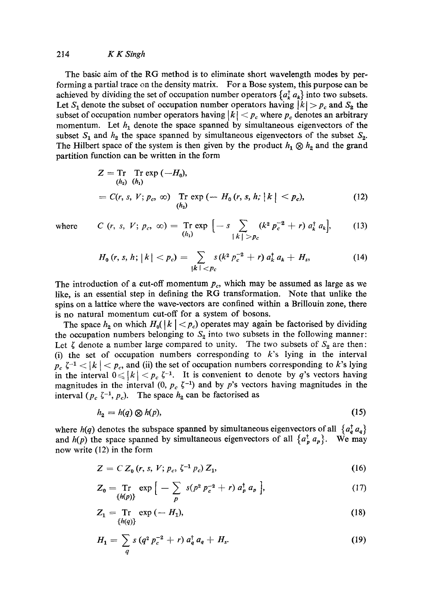### 214 *K K Singh*

The basic aim of the RG method is to eliminate short wavelength modes by performing a partial trace on the density matrix. For a Bose system, this purpose can be achieved by dividing the set of occupation number operators  $\{a_k^{\dagger}, a_k\}$  into two subsets. Let  $S_1$  denote the subset of occupation number operators having  $|k| > p_c$  and  $S_2$  the subset of occupation number operators having  $|k| < p_c$  where  $p_c$  denotes an arbitrary momentum. Let  $h_1$  denote the space spanned by simultaneous eigenvectors of the subset  $S_1$  and  $h_2$  the space spanned by simultaneous eigenvectors of the subset  $S_2$ . The Hilbert space of the system is then given by the product  $h_1 \otimes h_2$  and the grand partition function can be written in the form

$$
Z = \text{Tr} \text{ Tr} \exp(-H_0), \n(h_2) \quad (h_1) \n= C(r, s, V; p_c, \infty) \text{ Tr} \exp(-H_0(r, s, h; |k| < p_c), \n(h_2) \tag{12}
$$

where 
$$
C(r, s, V; p_c, \infty) = \text{Tr} \exp \left[ -s \sum_{\{k\} > p_c} (k^2 p_c^{-2} + r) a_k^{\dagger} a_k \right],
$$
 (13)

$$
H_0(r, s, h; |k| < p_c) = \sum_{|k| < p_c} s(k^2 p_c^{-2} + r) a_k^{\dagger} a_k + H_s,
$$
 (14)

The introduction of a cut-off momentum  $p_c$ , which may be assumed as large as we like, is an essential step in defining the RG transformation. Note that unlike the spins on a lattice where the wave-vectors are confined within a Brillouin zone, there is no natural momentum cut-off for a system of bosons.

The space  $h_2$  on which  $H_0(|k| < p_c)$  operates may again be factorised by dividing the occupation numbers belonging to  $S_2$  into two subsets in the following manner: Let  $\zeta$  denote a number large compared to unity. The two subsets of  $S_2$  are then: (i) the set of occupation numbers corresponding to  $k$ 's lying in the interval  $p_c \zeta^{-1}$  <  $|k|$  <  $p_c$ , and (ii) the set of occupation numbers corresponding to k's lying in the interval  $0 \leqslant |k| < p_c \zeta^{-1}$ . It is convenient to denote by q's vectors having magnitudes in the interval (0,  $p_c \zeta^{-1}$ ) and by p's vectors having magnitudes in the interval ( $p_c \zeta^{-1}$ ,  $p_c$ ). The space  $h_2$  can be factorised as

$$
h_2 = h(q) \otimes h(p),\tag{15}
$$

where  $h(q)$  denotes the subspace spanned by simultaneous eigenvectors of all  $\{a_q^{\dagger} a_q\}$ and  $h(p)$  the space spanned by simultaneous eigenvectors of all  $\{a_p^{\dagger}, a_p\}$ . We may now write (12) in the form

$$
Z = C Z_0 (r, s, V; p_c, \zeta^{-1} p_c) Z_1,
$$
 (16)

$$
Z_0 = \text{Tr} \, \exp \big[ - \sum_p \, s(p^2 \, p_c^{-2} + r) \, a_p^{\dagger} \, a_p \big], \tag{17}
$$

$$
Z_1 = \underset{\{h(q)\}}{\text{Tr}} \exp\left(-H_1\right),\tag{18}
$$

$$
H_1 = \sum_{q} s (q^2 p_c^{-2} + r) a_q^{\dagger} a_q + H_s. \tag{19}
$$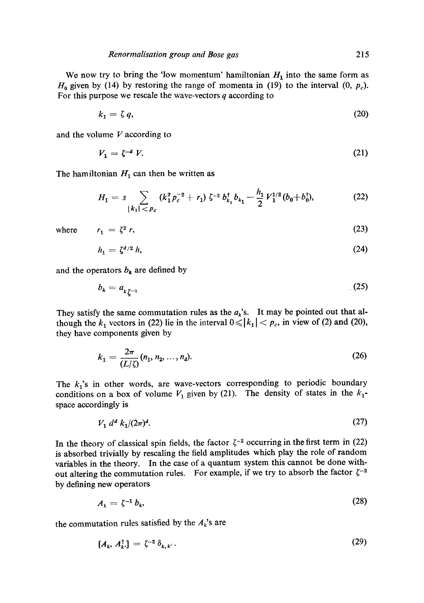We now try to bring the 'low momentum' hamiltonian  $H_1$  into the same form as  $H_0$  given by (14) by restoring the range of momenta in (19) to the interval  $(0, p_c)$ . For this purpose we rescale the wave-vectors  $q$  according to

$$
k_1 = \zeta q, \tag{20}
$$

and the volume  $V$  according to

$$
V_1 = \zeta^{-d} V. \tag{21}
$$

The hamiltonian  $H_1$  can then be written as

$$
H_1 = s \sum_{|k_1| < p_c} (k_1^2 p_c^{-2} + r_1) \zeta^{-2} b_{k_1}^\dagger b_{k_1} - \frac{h_1}{2} V_1^{1/2} (b_0 + b_0^\dagger), \tag{22}
$$

where  $r_1 = \zeta^2 r$ , (23)

$$
(\mathcal{L}_1,\mathcal{L}_2,\mathcal{L}_3,\mathcal{L}_4,\mathcal{L}_5,\mathcal{L}_6,\mathcal{L}_7,\mathcal{L}_8,\mathcal{L}_9,\mathcal{L}_9,\mathcal{L}_9,\mathcal{L}_9,\mathcal{L}_9,\mathcal{L}_9,\mathcal{L}_9,\mathcal{L}_9,\mathcal{L}_9,\mathcal{L}_9,\mathcal{L}_9,\mathcal{L}_9,\mathcal{L}_9,\mathcal{L}_9,\mathcal{L}_9,\mathcal{L}_9,\mathcal{L}_9,\mathcal{L}_9,\mathcal{L}_9,\mathcal{L}_9,\mathcal{L}_9,\mathcal{L}_9,\mathcal{L}_9,\mathcal{L}_9,\mathcal{L}_9,\mathcal{L}_9,\mathcal{L}_9,\mathcal{L}_9,\mathcal{L}_9,\mathcal{L}_9,\mathcal{L}_9,\mathcal{L}_9,\mathcal{L}_9,\mathcal{L}_9,\mathcal{L}_9,\mathcal{L}_9,\mathcal{L}_9,\mathcal{L}_9,\mathcal{L}_9,\mathcal{L}_9,\mathcal{L}_9,\mathcal{L}_9,\mathcal{L}_9,\mathcal{L}_9,\mathcal{L}_9,\mathcal{L}_9,\mathcal{L}_9,\mathcal{L}_9,\mathcal{L}_9,\mathcal{L}_9,\mathcal{L}_9,\mathcal{L}_9,\mathcal{L}_9,\mathcal{L}_9,\mathcal{L}_9,\mathcal{L}_9,\mathcal{L}_9,\mathcal{L}_9,\mathcal{L}_9,\mathcal{L}_9,\mathcal{L}_9,\mathcal{L}_9,\mathcal{L}_9,\mathcal{L}_9,\mathcal{L}_9,\mathcal{L}_9,\mathcal{L}_9,\mathcal{L}_9,\mathcal{L}_9,\mathcal{L}_9,\mathcal{L}_9,\mathcal{L}_9,\mathcal{L}_9,\mathcal{L}_9,\mathcal{L}_9,\mathcal{L}_9,\mathcal{L}_9,\mathcal{L}_9,\mathcal{L}_9,\mathcal{L}_9,\mathcal{L}_9,\mathcal{L}_9,\mathcal{L}_9,\mathcal{L}_9,\mathcal{L}_9,\mathcal{L}_9,\mathcal{L}_9,\mathcal{L}_9,\mathcal{L}_9,\mathcal{L}_9,\mathcal{L}_9,\mathcal{L}_9,\mathcal{L}_9,\mathcal{L}_9,\mathcal{L}_9,\mathcal{L}_9,\mathcal{L}_9,\mathcal{L}_9,\mathcal{L}_9,\mathcal{L}_9,\mathcal
$$

$$
h_1 = \zeta^{d/2} h,\tag{24}
$$

and the operators  $b_k$  are defined by

$$
b_k = a_{k\zeta^{-1}} \tag{25}
$$

They satisfy the same commutation rules as the  $a_k$ 's. It may be pointed out that although the  $k_1$  vectors in (22) lie in the interval  $0 \le |k_1| < p_c$ , in view of (2) and (20), they have components given by

$$
k_1 = \frac{2\pi}{(L/\zeta)} (n_1, n_2, \dots, n_d).
$$
 (26)

The  $k_1$ 's in other words, are wave-vectors corresponding to periodic boundary conditions on a box of volume  $V_1$  given by (21). The density of states in the  $k_1$ space accordingly is

$$
V_1 \, d^d \, k_1/(2\pi)^d. \tag{27}
$$

In the theory of classical spin fields, the factor  $\zeta^{-2}$  occurring in the first term in (22) is absorbed trivially by rescaling the field amplitudes which play the role of random variables in the theory. In the ease of a quantum system this cannot be done without altering the commutation rules. For example, if we try to absorb the factor  $\zeta^{-2}$ by defining new operators

$$
A_k = \zeta^{-1} b_k, \tag{28}
$$

the commutation rules satisfied by the  $A_k$ 's are

$$
[A_k, A_{k'}^\dagger] = \zeta^{-2} \, \delta_{k,k'} \,. \tag{29}
$$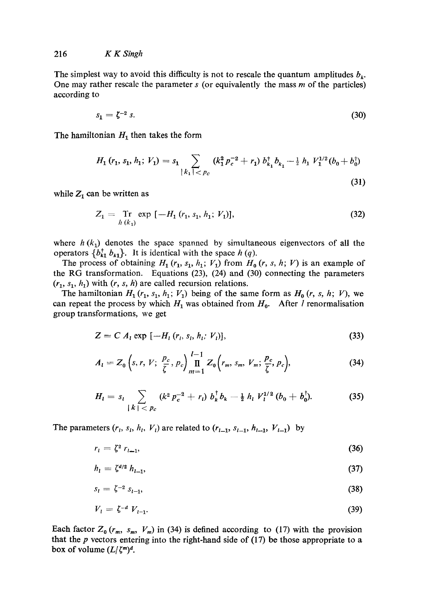The simplest way to avoid this difficulty is not to rescale the quantum amplitudes  $b_k$ . One may rather rescale the parameter  $s$  (or equivalently the mass  $m$  of the particles) according to

$$
s_1 = \zeta^{-2} s. \tag{30}
$$

The hamiltonian  $H_1$  then takes the form

$$
H_1(r_1, s_1, h_1; V_1) = s_1 \sum_{\substack{|k_1| < p_c}} (k_1^2 p_c^{-2} + r_1) b_{k_1}^{\dagger} b_{k_1} - \frac{1}{2} h_1 V_1^{1/2} (b_0 + b_0^{\dagger}) \tag{31}
$$

while  $Z_1$  can be written as

$$
Z_1 = \underset{h(k_1)}{\text{Tr}} \exp\left[-H_1(r_1, s_1, h_1; V_1)\right],\tag{32}
$$

where  $h(k_1)$  denotes the space spanned by simultaneous eigenvectors of all the operators  $\{b_{k1}^{\dagger} b_{k1}\}$ . It is identical with the space *h* (q).

The process of obtaining  $H_1$  ( $r_1$ ,  $s_1$ ,  $h_1$ ;  $V_1$ ) from  $H_0$  ( $r$ ,  $s$ ,  $h$ ;  $V$ ) is an example of the RG transformation. Equations (23), (24) and (30) connecting the parameters  $(r_1, s_1, h_1)$  with  $(r, s, h)$  are called recursion relations.

The hamiltonian  $H_1$   $(r_1, s_1, h_1; V_1)$  being of the same form as  $H_0$   $(r, s, h; V)$ , we can repeat the process by which  $H_1$  was obtained from  $H_0$ . After *I* renormalisation group transformations, we get

$$
Z = C A1 exp [-H1(ri, si, hi; Vi)],
$$
\n(33)

$$
A_{l} = Z_{0} \left(s, r, V; \frac{p_{c}}{\zeta}, p_{c}\right) \prod_{m=1}^{l-1} Z_{0} \left(r_{m}, s_{m}, V_{m}; \frac{p_{c}}{\zeta}, p_{c}\right), \tag{34}
$$

$$
H_{l} = s_{l} \sum_{\vert k \vert < p_{c}} (k^{2} p_{c}^{-2} + r_{l}) b_{k}^{\dagger} b_{k} - \frac{1}{2} h_{l} V_{l}^{1/2} (b_{0} + b_{0}^{\dagger}). \hspace{1cm} (35)
$$

The parameters  $(r_1, s_1, h_1, V_1)$  are related to  $(r_{l-1}, s_{l-1}, h_{l-1}, V_{l-1})$  by

$$
r_l = \zeta^2 \, r_{l-1},\tag{36}
$$

$$
h_l = \zeta^{d/2} h_{l-1}, \tag{37}
$$

$$
s_l = \zeta^{-2} s_{l-1}, \tag{38}
$$

$$
V_l = \zeta^{-d} V_{l-1}.\tag{39}
$$

*Each factor*  $Z_0$  ( $r_m$ ,  $s_m$ ,  $V_m$ ) in (34) is defined according to (17) with the provision that the  $p$  vectors entering into the right-hand side of (17) be those appropriate to a box of volume  $(L/\zeta^m)^d$ .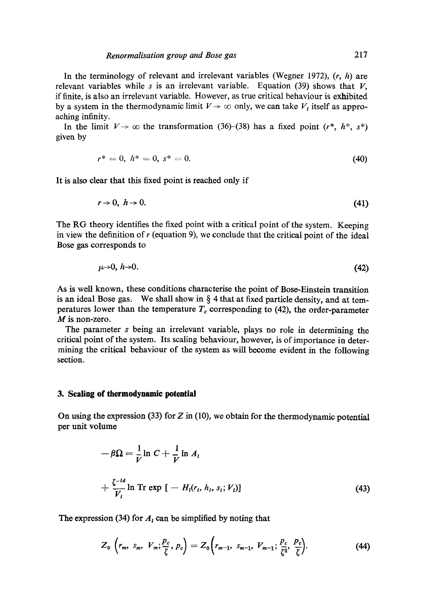In the terminology of relevant and irrelevant variables (Wegner 1972),  $(r, h)$  are relevant variables while s is an irrelevant variable. Equation (39) shows that  $V$ , if finite, is also an irrelevant variable. However, as true critical behaviour is exhibited by a system in the thermodynamic limit  $V \rightarrow \infty$  only, we can take  $V_i$  itself as approaching infinity.

In the limit  $V \rightarrow \infty$  the transformation (36)-(38) has a fixed point (r<sup>\*</sup>, h<sup>\*</sup>, s<sup>\*</sup>) given by

$$
r^* = 0, \; h^* = 0, \; s^* = 0. \tag{40}
$$

It is also clear that this fixed point is reached only if

$$
r \to 0, \; h \to 0. \tag{41}
$$

The RG theory identifies the fixed point with a critical point of the system. Keeping in view the definition of  $r$  (equation 9), we conclude that the critical point of the ideal Bose gas corresponds to

$$
\mu \rightarrow 0, \ h \rightarrow 0. \tag{42}
$$

As is well known, these conditions characterise the point of Bose-Einstein transition is an ideal Bose gas. We shall show in  $\S$  4 that at fixed particle density, and at temperatures lower than the temperature  $T_c$  corresponding to (42), the order-parameter M is non-zero.

The parameter s being an irrelevant variable, plays no role in determining the critical point of the system. Its scaling behaviour, however, is of importance in determining the critical behaviour of the system as will become evident in the following section.

#### **3. Scaling of thermodynamic potential**

On using the expression (33) for  $Z$  in (10), we obtain for the thermodynamic potential per unit volume

$$
-\beta \Omega = \frac{1}{V} \ln C + \frac{1}{V} \ln A_l
$$
  
+ 
$$
\frac{\zeta^{-ld}}{V_l} \ln \text{Tr} \exp \left[ -H_l(r_l, h_l, s_l; V_l) \right]
$$
 (43)

The expression (34) for  $A_t$  can be simplified by noting that

$$
Z_0\left(r_m,\ s_m,\ V_m;\frac{p_c}{\zeta},\ p_c\right)=Z_0\left(r_{m-1},\ s_{m-1},\ V_{m-1};\frac{p_c}{\zeta^2},\ \frac{p_c}{\zeta}\right). \hspace{1.5cm} (44)
$$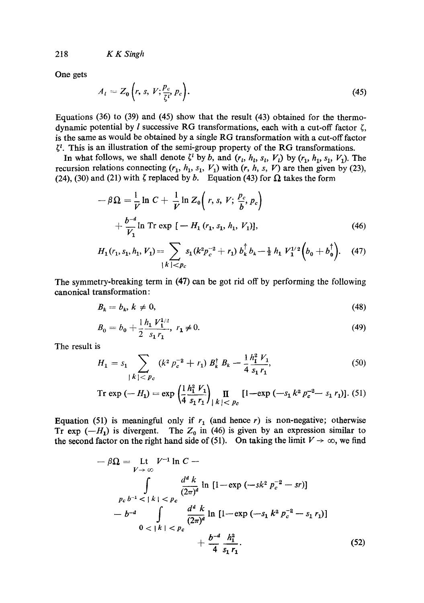*218 K K Singh* 

One gets

$$
A_t = Z_0 \left(r, s, V; \frac{p_c}{\zeta t}, p_c\right). \tag{45}
$$

Equations (36) to (39) and (45) show that the result (43) obtained for the thermodynamic potential by l successive RG transformations, each with a cut-off factor  $\zeta$ , is the same as would be obtained by a single RG transformation with a cut-off factor  $\zeta^i$ . This is an illustration of the semi-group property of the RG transformations.

In what follows, we shall denote  $\zeta^l$  by b, and  $(r_l, h_l, s_l, V_l)$  by  $(r_1, h_1, s_1, V_l)$ . The recursion relations connecting  $(r_1, h_1, s_1, V_1)$  with  $(r, h, s, V)$  are then given by (23), (24), (30) and (21) with  $\zeta$  replaced by b. Equation (43) for  $\Omega$  takes the form

$$
-\beta \Omega = \frac{1}{V} \ln C + \frac{1}{V} \ln Z_0 \left( r, s, V; \frac{p_c}{b}, p_c \right) + \frac{b^{-4}}{V_1} \ln \text{Tr} \exp \left[ -H_1 \left( r_1, s_1, h_1, V_1 \right) \right], \tag{46}
$$

$$
H_1(r_1, s_1, h_1, V_1) = \sum_{|k| < p_c} s_1(k^2 p_c^{-2} + r_1) b_k^\dagger b_k - \frac{1}{2} h_1 V_1^{1/2} \left( b_0 + b_0^\dagger \right). \tag{47}
$$

The symmetry-breaking term in (47) can be got rid off by performing the following canonical transformation:

$$
B_k = b_k, k \neq 0,\tag{48}
$$

$$
B_0 = b_0 + \frac{1}{2} \frac{h_1 V_1^{1/2}}{s_1 r_1}, r_1 \neq 0.
$$
 (49)

The result is

$$
H_1 = s_1 \sum_{|k| < p_c} \left( k^2 \, p_c^{-2} + r_1 \right) B_k^\dagger \, B_k - \frac{1}{4} \frac{h_1^2 \, V_1}{s_1 \, r_1},\tag{50}
$$

Tr 
$$
\exp(-H_1) = \exp\left(\frac{1}{4}\frac{h_1^2 V_1}{s_1 r_1}\right)_{|k| < p_c} \prod_{c=1}^{\infty} [-\exp(-s_1 k^2 p_c^{-2} - s_1 r_1)].
$$
 (51)

Equation (51) is meaningful only if  $r_1$  (and hence r) is non-negative; otherwise Tr exp  $(-H_1)$  is divergent. The  $Z_0$  in (46) is given by an expression similar to the second factor on the right hand side of (51). On taking the limit  $V \to \infty$ , we find

$$
-\beta \Omega = \text{Lt} \quad V^{-1} \ln C -
$$
\n
$$
\int_{p_c b^{-1} < |k| < p_c} \frac{d^d k}{(2\pi)^d} \ln \left[1 - \exp\left(-sk^2 p_c^{-2} - sr\right)\right]
$$
\n
$$
-b^{-d} \int_{0 < |k| < p_c} \frac{d^d k}{(2\pi)^d} \ln \left[1 - \exp\left(-s_1 k^2 p_c^{-2} - s_1 r_1\right)\right]
$$
\n
$$
+ \frac{b^{-d}}{4} \frac{h_1^2}{s_1 r_1}.
$$
\n(52)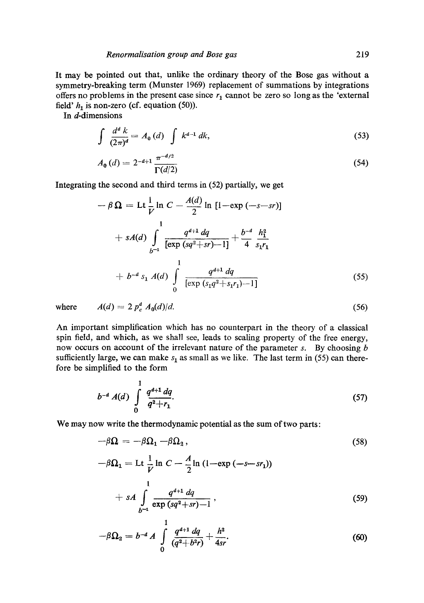It may be pointed out that, unlike the ordinary theory of the Bose gas without a symmetry-breaking term (Munster 1969) replacement of summations by integrations offers no problems in the present case since  $r_1$  cannot be zero so long as the 'external field'  $h_1$  is non-zero (cf. equation (50)).

In d-dimensions

$$
\int \frac{d^d k}{(2\pi)^d} = A_0(d) \int k^{d-1} dk,
$$
\n(53)

$$
A_0(d) = 2^{-d+1} \frac{\pi^{-d/2}}{\Gamma(d/2)}
$$
(54)

Integrating the second and third terms in (52) partially, we get

$$
-\beta \Omega = \text{Lt} \frac{1}{V} \ln C - \frac{A(d)}{2} \ln \left[1 - \exp(-s - sr)\right]
$$
  
+  $sA(d) \int_{b^{-1}}^{1} \frac{q^{d+1} dq}{\left[\exp(sq^{2} + sr) - 1\right]} + \frac{b^{-d}}{4} \frac{h_{1}^{2}}{s_{1}r_{1}}$   
+  $b^{-d} s_{1} A(d) \int_{0}^{1} \frac{q^{d+1} dq}{\left[\exp(s_{1}q^{2} + s_{1}r_{1}) - 1\right]}$  (55)

where 
$$
A(d) = 2 p_c^d A_0(d) / d. \tag{56}
$$

An important simplification which has no counterpart in the theory of a classical spin field, and which, as we shall see, leads to scaling property of the free energy, now occurs on account of the irrelevant nature of the parameter  $s$ . By choosing  $b$ sufficiently large, we can make  $s_1$  as small as we like. The last term in (55) can therefore be simplified to the form

$$
b^{-d} A(d) \int_{0}^{1} \frac{q^{d+1} dq}{q^2+r_1}.
$$
 (57)

We may now write the thermodynamic potential as the sum of two parts:

$$
-\beta \Omega = -\beta \Omega_1 - \beta \Omega_2, \qquad (58)
$$

$$
-\beta \Omega_1 = \text{Lt} \frac{1}{V} \ln C - \frac{A}{2} \ln (1 - \exp(-s - sr_1))
$$
  
+ 
$$
sA \int_{b^{-1}}^{1} \frac{q^{d+1} dq}{\exp(sq^2 + sr) - 1},
$$
 (59)

$$
-\beta\Omega_2 = b^{-d} A \int\limits_0^1 \frac{q^{d+1} dq}{(q^2 + b^2 r)} + \frac{h^2}{4sr}.
$$
 (60)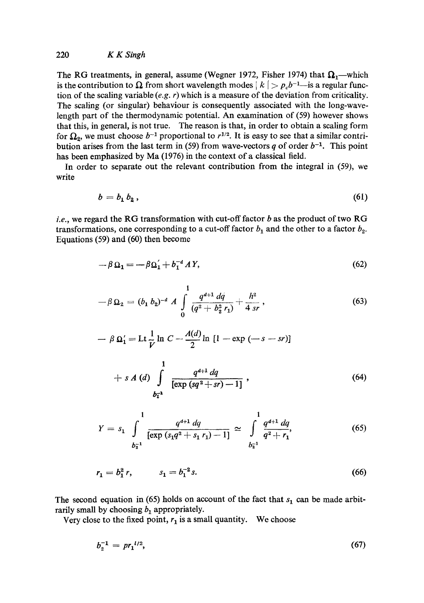# 220 *K KSmgh*

The RG treatments, in general, assume (Wegner 1972, Fisher 1974) that  $\Omega_1$ —which is the contribution to  $\Omega$  from short wavelength modes  $|k| > p_c b^{-1}$ -is a regular function of the scaling variable *(e.g. r)* which is a measure of the deviation from criticality. The scaling (or singular) behaviour is consequently associated with the long-wavelength part of the thermodynamic potential. An examination of (59) however shows that this, in general, is not true. The reason is that, in order to obtain a scaling form for  $\Omega_2$ , we must choose  $b^{-1}$  proportional to  $r^{1/2}$ . It is easy to see that a similar contribution arises from the last term in (59) from wave-vectors q of order  $b^{-1}$ . This point has been emphasized by Ma (1976) in the context of a classical field.

In order to separate out the relevant contribution from the integral in *(59),* we write

$$
b = b_1 b_2, \tag{61}
$$

*i.e.*, we regard the RG transformation with cut-off factor b as the product of two RG transformations, one corresponding to a cut-off factor  $b_1$  and the other to a factor  $b_2$ . Equations (59) and (60) then become

$$
-\beta \Omega_1 = -\beta \Omega_1' + b_1^{-d} AY,\tag{62}
$$

$$
-\beta \Omega_2 = (b_1 \, b_2)^{-d} \, A \, \int \limits_0^1 \frac{q^{d+1} \, dq}{(q^2 + b_2^2 \, r_1)} + \frac{h^2}{4 \, sr} \,, \tag{63}
$$

$$
- \beta \Omega_1' = \text{Lt} \frac{1}{V} \ln C - \frac{A(d)}{2} \ln \left[ 1 - \exp \left( -s - sr \right) \right]
$$

$$
+ s A (d) \int_{b_1^{-1}}^{1} \frac{q^{d+1} dq}{[\exp (sq^2 + sr) - 1]},
$$
\n(64)

$$
Y = s_1 \int_{b_2^{-1}}^1 \frac{q^{d+1} dq}{\left[\exp\left(s_1 q^2 + s_1 r_1\right) - 1\right]} \approx \int_{b_2^{-1}}^1 \frac{q^{d+1} dq}{q^2 + r_1},\tag{65}
$$

$$
r_1 = b_1^2 r, \qquad s_1 = b_1^{-2} s. \tag{66}
$$

The second equation in (65) holds on account of the fact that  $s_1$  can be made arbitrarily small by choosing  $b_1$  appropriately.

Very close to the fixed point,  $r_1$  is a small quantity. We choose

$$
b_2^{-1} = pr_1^{1/2},\tag{67}
$$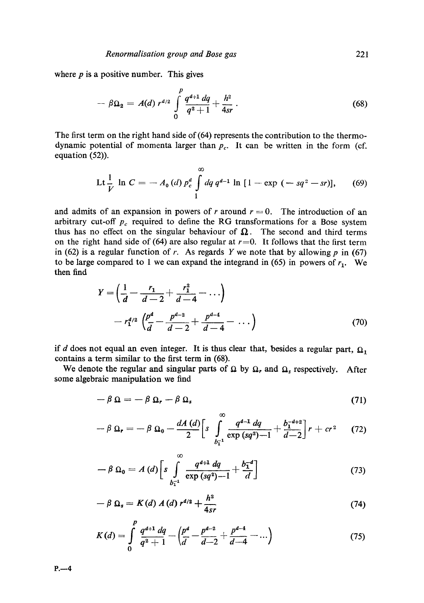where  $p$  is a positive number. This gives

$$
-\beta\Omega_2 = A(d) r^{d/2} \int\limits_0^p \frac{q^{d+1} dq}{q^2+1} + \frac{h^2}{4sr} \,. \tag{68}
$$

The first term on the right hand side of (64) represents the contribution to the thermodynamic potential of momenta larger than  $p_c$ . It can be written in the form (cf. equation (52)).

$$
\text{Lt} \frac{1}{V} \ln C = -A_0(d) p_c^d \int_1^{\infty} dq \, q^{d-1} \ln \left[ 1 - \exp \left( -sq^2 - sr \right) \right], \qquad (69)
$$

and admits of an expansion in powers of r around  $r = 0$ . The introduction of an arbitrary cut-off  $p_c$  required to define the RG transformations for a Bose system thus has no effect on the singular behaviour of  $\Omega$ . The second and third terms on the right hand side of (64) are also regular at  $r=0$ . It follows that the first term in (62) is a regular function of r. As regards Y we note that by allowing  $p$  in (67) to be large compared to 1 we can expand the integrand in (65) in powers of  $r_1$ . We then find

$$
Y = \left(\frac{1}{d} - \frac{r_1}{d - 2} + \frac{r_1^2}{d - 4} - \cdots\right)
$$
  
-  $r_1^{d/2} \left(\frac{p^d}{d} - \frac{p^{d-2}}{d - 2} + \frac{p^{d-4}}{d - 4} - \cdots\right)$  (70)

if d does not equal an even integer. It is thus clear that, besides a regular part,  $\Omega_1$ contains a term similar to the first term in (68).

We denote the regular and singular parts of  $\Omega$  by  $\Omega$ , and  $\Omega_s$  respectively. After some algebraic manipulation we find

$$
-\beta \Omega = -\beta \Omega_r - \beta \Omega_s \tag{71}
$$

$$
-\beta \Omega_r = -\beta \Omega_0 - \frac{dA(d)}{2} \left[ s \int_{b_1^{-1}}^{\infty} \frac{q^{d-1} dq}{\exp (sq^2) - 1} + \frac{b_1^{-d+2}}{d-2} \right] r + cr^2 \qquad (72)
$$

$$
-\beta \Omega_0 = A(d) \bigg[ s \int_{b_1^{-1}}^{\infty} \frac{q^{d+1} dq}{\exp (sq^2) - 1} + \frac{b_1^{-d}}{d} \bigg] \tag{73}
$$

$$
-\beta \Omega_s = K(d) A(d) r^{d/2} + \frac{h^2}{4sr} \tag{74}
$$

$$
K(d) = \int_{0}^{p} \frac{q^{d+1} dq}{q^2 + 1} - \left(\frac{p^d}{d} - \frac{p^{d-2}}{d-2} + \frac{p^{d-4}}{d-4} - \dots\right)
$$
(75)

 $P. -4$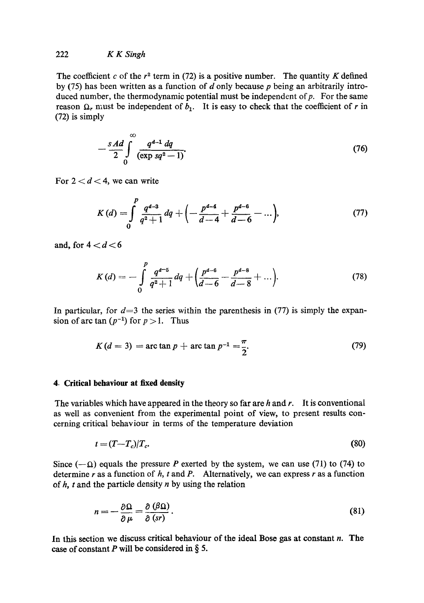# 222 *K K Singh*

The coefficient c of the  $r^2$  term in (72) is a positive number. The quantity K defined by (75) has been written as a function of  $d$  only because  $p$  being an arbitrarily introduced number, the thermodynamic potential must be independent of  $p$ . For the same reason  $\Omega_r$  must be independent of  $b_1$ . It is easy to check that the coefficient of r in (72) is simply

$$
-\frac{sAd}{2}\int_{0}^{\infty}\frac{q^{d-1} dq}{(\exp sq^2-1)}.
$$
\t(76)

For  $2 < d < 4$ , we can write

$$
K(d) = \int_{0}^{p} \frac{q^{d-3}}{q^2+1} dq + \left(-\frac{p^{d-4}}{d-4} + \frac{p^{d-6}}{d-6} - \ldots\right),\tag{77}
$$

and, for  $4 < d < 6$ 

$$
K(d) = -\int_{0}^{p} \frac{q^{d-5}}{q^2+1} dq + \left(\frac{p^{d-6}}{d-6} - \frac{p^{d-8}}{d-8} + \ldots\right).
$$
 (78)

In particular, for  $d=3$  the series within the parenthesis in (77) is simply the expansion of arc tan  $(p^{-1})$  for  $p > 1$ . Thus

$$
K(d = 3) = \arctan p + \arctan p^{-1} = \frac{\pi}{2}.
$$
 (79)

# **4. Critical behaviour at fixed density**

The variables which have appeared in the theory so far are  $h$  and  $r$ . It is conventional as well as convenient from the experimental point of view, to present results concerning critical behaviour in terms of the temperature deviation

$$
t = (T - T_c)/T_c. \tag{80}
$$

Since  $(-\Omega)$  equals the pressure P exerted by the system, we can use (71) to (74) to determine  $r$  as a function of  $h$ ,  $t$  and  $P$ . Alternatively, we can express  $r$  as a function of  $h$ ,  $t$  and the particle density  $n$  by using the relation

$$
n = -\frac{\partial \Omega}{\partial \mu} = \frac{\partial (\beta \Omega)}{\partial (sr)}.
$$
 (81)

In this section we discuss critical behaviour of the ideal Bose gas at constant  $n$ . The case of constant P will be considered in  $\S$  5.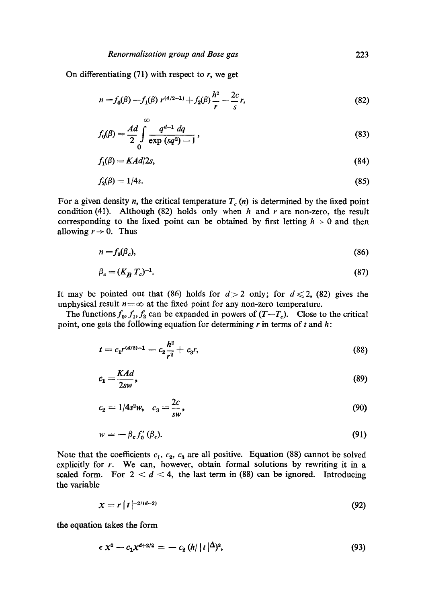On differentiating  $(71)$  with respect to r, we get

$$
n = f_0(\beta) - f_1(\beta) r^{(d/2-1)} + f_2(\beta) \frac{h^2}{r} - \frac{2c}{s}r,
$$
\n(82)

$$
f_0(\beta) = \frac{Ad}{2} \int_{0}^{\infty} \frac{q^{d-1} dq}{\exp (sq^2) - 1},
$$
\n(83)

$$
f_1(\beta) = K \cdot Ad/2s,\tag{84}
$$

$$
f_2(\beta) = 1/4s. \tag{85}
$$

For a given density *n*, the critical temperature  $T_c(n)$  is determined by the fixed point condition (41). Although (82) holds only when  $h$  and  $r$  are non-zero, the result corresponding to the fixed point can be obtained by first letting  $h \to 0$  and then allowing  $r \rightarrow 0$ . Thus

$$
n = f_0(\beta_c),\tag{86}
$$

$$
\beta_c = (K_B T_c)^{-1}.\tag{87}
$$

It may be pointed out that (86) holds for  $d>2$  only; for  $d \le 2$ , (82) gives the unphysical result  $n = \infty$  at the fixed point for any non-zero temperature.

The functions  $f_0, f_1, f_2$  can be expanded in powers of  $(T-T_c)$ . Close to the critical point, one gets the following equation for determining  $r$  in terms of  $t$  and  $h$ :

$$
t = c_1 r^{(d/2)-1} - c_2 \frac{h^2}{r^2} + c_3 r,
$$
\n(88)

$$
c_1 = \frac{KAd}{2sw},\tag{89}
$$

$$
c_2 = 1/4s^2 w, \quad c_3 = \frac{2c}{sw}, \tag{90}
$$

$$
w = -\beta_c f'_0 \left( \beta_c \right). \tag{91}
$$

Note that the coefficients  $c_1$ ,  $c_2$ ,  $c_3$  are all positive. Equation (88) cannot be solved explicitly for r. We can, however, obtain formal solutions by rewriting it in a scaled form. For  $2 < d < 4$ , the last term in (88) can be ignored. Introducing the variable

$$
x = r \left[ t \left| \begin{array}{c} -2/(d-2) \\ 2 \end{array} \right. \right] \tag{92}
$$

the equation takes the form

$$
\epsilon x^2 - c_1 x^{d+2/2} = - c_2 (h/|t|^{\Delta})^2, \tag{93}
$$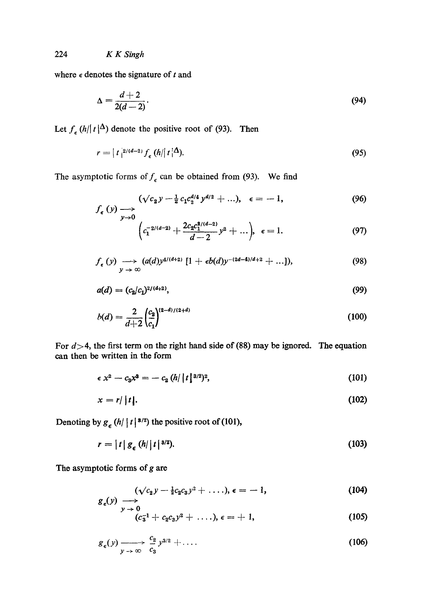where  $\epsilon$  denotes the signature of t and

$$
\Delta = \frac{d+2}{2(d-2)}.\tag{94}
$$

Let  $f_{\epsilon} (h/|t|^{\Delta})$  denote the positive root of (93). Then

$$
r = |t|^{2/(d-2)} f_{\epsilon} (h/|t|^\Delta). \tag{95}
$$

The asymptotic forms of  $f_{\epsilon}$  can be obtained from (93). We find

$$
f_{\epsilon}(y) \longrightarrow \int_{y \to 0} (\sqrt{c_2}y - \frac{1}{2}c_1c_2^{d/4}y^{d/2} + \ldots), \quad \epsilon = -1, \tag{96}
$$

$$
\int_{y\to 0}^{y\to 0} \left( c_1^{-2/(d-2)} + \frac{2c_2 c_1^{2/(d-2)}}{d-2} y^2 + \ldots \right), \epsilon = 1. \tag{97}
$$

$$
f_{\epsilon}(y) \longrightarrow (a(d)y^{4/(d+2)} [1 + \epsilon b(d)y^{-(2d-4)/d+2} + ...]), \qquad (98)
$$

$$
a(d) = (c_2/c_1)^{2/(d+2)},\tag{99}
$$

$$
b(d) = \frac{2}{d+2} \left(\frac{c_2}{c_1}\right)^{(2-d)/(2+d)}\tag{100}
$$

For  $d > 4$ , the first term on the right hand side of (88) may be ignored. The equation can then be written in the form

$$
\epsilon x^2 - c_3 x^3 = - c_2 (h/|t|^{3/2})^2, \tag{101}
$$

$$
x = r / |t|.
$$
 (102)

Denoting by  $g_{\epsilon} (h/ |t|^{3/2})$  the positive root of (101),

$$
r = |t| g_{\epsilon} (h/|t|^{3/2}). \tag{103}
$$

The asymptotic forms of  $g$  are

$$
(\sqrt{c_2}y-\frac{1}{2}c_2c_3y^2+\ldots), \epsilon=-1,
$$
 (104)

$$
y \to 0
$$
  
 $(c_3^{-1} + c_2 c_3 y^2 + \ldots), \epsilon = +1,$  (105)

$$
g_{\epsilon}(y) \xrightarrow[y \to \infty]{} \frac{c_2}{c_3} y^{3/2} + \dots \tag{106}
$$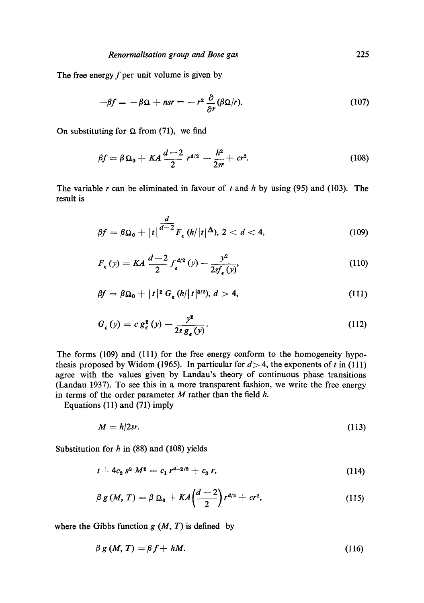The free energy  $f$  per unit volume is given by

$$
-\beta f = -\beta \Omega + nsr = -r^2 \frac{\partial}{\partial r} (\beta \Omega/r). \tag{107}
$$

On substituting for  $\Omega$  from (71), we find

$$
\beta f = \beta \Omega_0 + KA \frac{d-2}{2} r^{d/2} - \frac{h^2}{2sr} + cr^2. \tag{108}
$$

The variable r can be eliminated in favour of t and h by using (95) and (103). The result is

$$
\beta f = \beta \Omega_0 + |t|^{d-2} F_{\epsilon} (h/|t|^{\Delta}), 2 < d < 4,
$$
 (109)

$$
F_{\epsilon}(y) = KA \frac{d-2}{2} f_{\epsilon}^{d/2}(y) - \frac{y^2}{2sf_{\epsilon}(y)},
$$
\n(110)

$$
\beta f = \beta \Omega_0 + |t|^2 G_{\epsilon} (h/|t|^{3/2}), d > 4,
$$
\n(111)

$$
G_{\epsilon}(y) = c g_{\epsilon}^{2}(y) - \frac{y^{2}}{2s g_{\epsilon}(y)}.
$$
\n(112)

The forms (109) and (111) for the free energy conform to the homogeneity hypothesis proposed by Widom (1965). In particular for  $d > 4$ , the exponents of t in (111) agree with the values given by Landau's theory of continuous phase transitions (Landau 1937). To see this in a more transparent fashion, we write the free energy in terms of the order parameter  $M$  rather than the field  $h$ .

Equations (11) and (71) imply

$$
M = h/2sr. \tag{113}
$$

Substitution for  $h$  in (88) and (108) yields

$$
t + 4c_2 s^2 M^2 = c_1 r^{d-2/2} + c_3 r, \qquad (114)
$$

$$
\beta g(M, T) = \beta \Omega_0 + KA \left( \frac{d-2}{2} \right) r^{d/2} + cr^2, \tag{115}
$$

where the Gibbs function  $g(M, T)$  is defined by

$$
\beta g(M, T) = \beta f + hM. \tag{116}
$$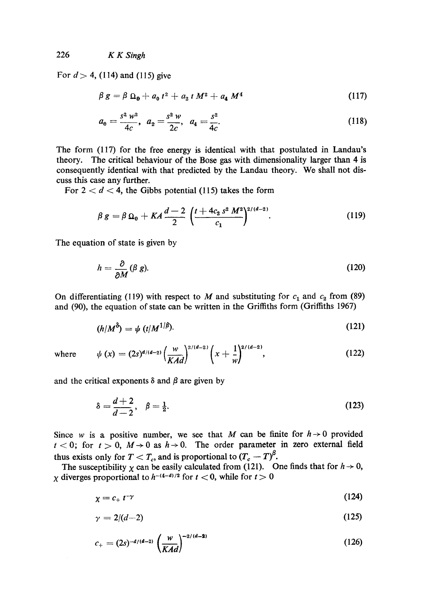226 *K K Singh* 

For  $d > 4$ , (114) and (115) give

$$
\beta g = \beta \Omega_0 + a_0 t^2 + a_2 t M^2 + a_4 M^4 \qquad (117)
$$

$$
a_0 = \frac{s^2 w^2}{4c}, \ a_2 = \frac{s^2 w}{2c}, \ a_4 = \frac{s^2}{4c}.
$$
 (118)

The form (117) for the free energy is identical with that postulated in Landau's theory. The critical behaviour of the Bose gas with dimensionality larger than 4 is consequently identical with that predicted by the Landau theory. We shall not discuss this case any further.

For  $2 < d < 4$ , the Gibbs potential (115) takes the form

$$
\beta g = \beta \Omega_0 + KA \frac{d-2}{2} \left( \frac{t + 4c_2 s^2 M^2}{c_1} \right)^{2/(d-2)}.
$$
 (119)

The equation of state is given by

$$
h = \frac{\partial}{\partial M} (\beta g). \tag{120}
$$

On differentiating (119) with respect to M and substituting for  $c_1$  and  $c_2$  from (89) and (90), the equation of state can be written in the Griffiths form (Griffiths 1967)

$$
(h/M^{\delta}) = \psi \ (t/M^{1/\beta}). \tag{121}
$$

where 
$$
\psi(x) = (2s)^{d/(d-2)} \left(\frac{w}{KAd}\right)^{2/(d-2)} \left(x + \frac{1}{w}\right)^{2/(d-2)},
$$
 (122)

and the critical exponents  $\delta$  and  $\beta$  are given by

$$
\delta = \frac{d+2}{d-2}, \quad \beta = \frac{1}{2}.\tag{123}
$$

Since w is a positive number, we see that M can be finite for  $h \rightarrow 0$  provided  $t < 0$ ; for  $t > 0$ ,  $M \rightarrow 0$  as  $h \rightarrow 0$ . The order parameter in zero external field thus exists only for  $T < T_c$ , and is proportional to  $(T_c - T)^{\beta}$ .

The susceptibility  $\chi$  can be easily calculated from (121). One finds that for  $h \to 0$ , x diverges proportional to  $h^{-(4-d)/2}$  for  $t < 0$ , while for  $t > 0$ 

$$
\chi = c_+ t^{-\gamma} \tag{124}
$$

$$
\gamma = 2/(d-2) \tag{125}
$$

$$
c_{+} = (2s)^{-d/(d-2)} \left(\frac{w}{KAd}\right)^{-2/(d-2)}
$$
\n(126)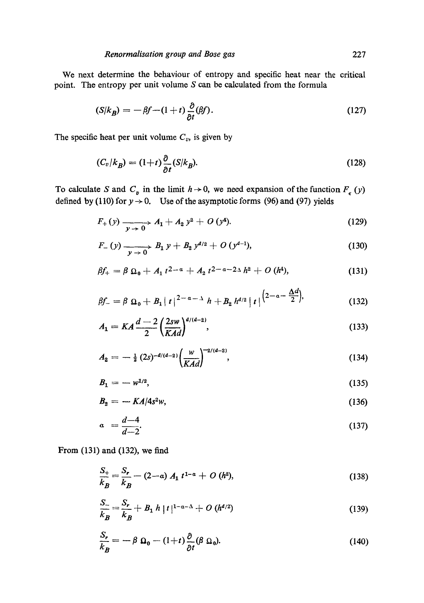We next determine the behaviour of entropy and specific heat near the critical point. The entropy per unit volume S can be calculated from the formula

$$
(S/k_B) = -\beta f - (1+t) \frac{\partial}{\partial t} (\beta f). \tag{127}
$$

The specific heat per unit volume  $C_v$ , is given by

$$
(C_v/k_B) = (1+t)\frac{\partial}{\partial t}(S/k_B). \tag{128}
$$

To calculate S and  $C_p$  in the limit  $h \to 0$ , we need expansion of the function  $F_{\epsilon}(y)$ defined by (110) for  $y \rightarrow 0$ . Use of the asymptotic forms (96) and (97) yields

$$
F_{+}(y) \xrightarrow[y \to 0]{} A_{1} + A_{2} y^{2} + O(y^{4}). \qquad (129)
$$

$$
F_{-}(y) \xrightarrow[y \to 0]{} B_1 y + B_2 y^{d/2} + O(y^{d-1}), \qquad (130)
$$

$$
\beta f_+ = \beta \, \Omega_0 + A_1 \, t^{2-a} + A_2 \, t^{2-a-2\Delta} \, h^2 + O \, (h^4), \tag{131}
$$

$$
\beta f_{-} = \beta \, \Omega_0 + B_1 |t|^{2-a-\Delta} h + B_2 h^{d/2} |t|^{2-a-\frac{\Delta d}{2}}, \qquad (132)
$$

$$
A_1 = KA \frac{d-2}{2} \left(\frac{2sw}{KAd}\right)^{d/(d-2)},
$$
\n(133)

$$
A_2 = -\frac{1}{2} (2s)^{-d/(d-2)} \left(\frac{w}{KAd}\right)^{-2/(d-2)}, \tag{134}
$$

$$
B_1 = -w^{1/2}, \t\t(135)
$$

$$
B_2 = -\frac{KA}{4s^2w},\tag{136}
$$

$$
a = \frac{d-4}{d-2}.\tag{137}
$$

From (131) and (132), we find

$$
\frac{S_+}{k_B} = \frac{S_r}{k_B} - (2 - a) A_1 t^{1 - a} + O(h^2),
$$
\n(138)

$$
\frac{S_-}{k_B} = \frac{S_r}{k_B} + B_1 h |t|^{1-\alpha-\Delta} + O(h^{d/2})
$$
\n(139)

$$
\frac{S_r}{k_B} = -\beta \ \Omega_0 - (1+t) \frac{\partial}{\partial t} (\beta \ \Omega_0). \tag{140}
$$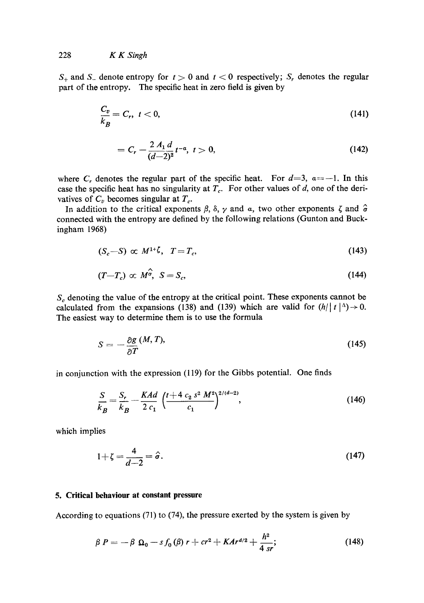$S_+$  and  $S_-$  denote entropy for  $t > 0$  and  $t < 0$  respectively;  $S_r$  denotes the regular part of the entropy. The specific heat in zero field is given by

$$
\frac{C_v}{k_B} = C_r, \ t < 0,\tag{141}
$$

$$
= C_r - \frac{2 A_1 d}{(d-2)^2} t^{-\alpha}, \ t > 0,
$$
\t(142)

where C<sub>r</sub> denotes the regular part of the specific heat. For  $d=3$ ,  $a=-1$ . In this case the specific heat has no singularity at  $T_c$ . For other values of d, one of the derivatives of  $C_v$  becomes singular at  $T_c$ .

In addition to the critical exponents  $\beta$ ,  $\delta$ ,  $\gamma$  and  $\alpha$ , two other exponents  $\zeta$  and  $\hat{\sigma}$ connected with the entropy are defined by the following relations (Gunton and Buckingham 1968)

$$
(S_c - S) \propto M^{1+\zeta}, \quad T = T_c, \tag{143}
$$

$$
(T - T_c) \propto M^{\hat{\sigma}}, \quad S = S_c, \tag{144}
$$

 $S_c$  denoting the value of the entropy at the critical point. These exponents cannot be calculated from the expansions (138) and (139) which are valid for  $(h/|t|<sup>\Delta</sup>) \rightarrow 0$ . The easiest way to determine them is to use the formula

$$
S = -\frac{\partial g}{\partial T} (M, T), \tag{145}
$$

in conjunction with the expression (119) for the Gibbs potential. One finds

$$
\frac{S}{k_B} = \frac{S_r}{k_B} - \frac{KAd}{2 c_1} \left( \frac{t + 4 c_2 s^2 M^2}{c_1} \right)^{2/(d-2)},
$$
\n(146)

which implies

$$
1+\zeta=\frac{4}{d-2}=\hat{\sigma}.\tag{147}
$$

#### **5. Critical behaviour at constant pressure**

According to equations (71) to (74), the pressure exerted by the system is given by

$$
\beta P = -\beta \ \Omega_0 - s f_0(\beta) r + c r^2 + K A r^{d/2} + \frac{h^2}{4 sr}; \tag{148}
$$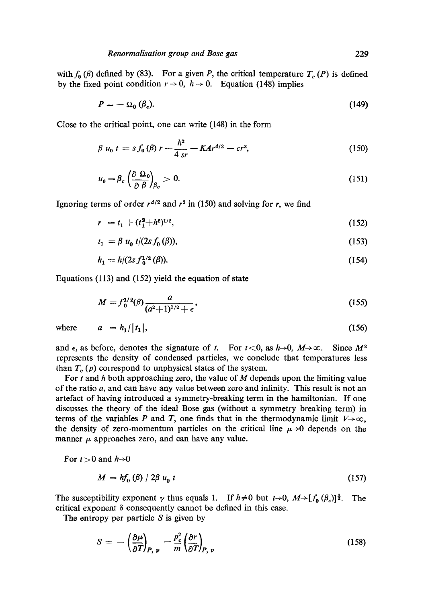with  $f_0$  ( $\beta$ ) defined by (83). For a given P, the critical temperature  $T_c$  (P) is defined by the fixed point condition  $r \rightarrow 0$ ,  $h \rightarrow 0$ . Equation (148) implies

$$
P = -\Omega_0 \left( \beta_c \right). \tag{149}
$$

Close to the critical point, one can write (148) in the form

$$
\beta u_0 t = s f_0(\beta) r - \frac{h^2}{4 \, sr} - K A r^{d/2} - c r^2, \tag{150}
$$

$$
u_0 = \beta_c \left(\frac{\partial \Omega_0}{\partial \beta}\right)_{\beta_c} > 0. \tag{151}
$$

Ignoring terms of order  $r^{d/2}$  and  $r^2$  in (150) and solving for r, we find

$$
r = t_1 + (t_1^2 + h^2)^{1/2}, \tag{152}
$$

$$
t_1 = \beta u_0 t/(2sf_0(\beta)),\tag{153}
$$

$$
h_1 = h/(2s f_0^{1/2}(\beta)).
$$
\n(154)

Equations (113) and (152) yield the equation of state

$$
M = f_0^{1/2}(\beta) \frac{a}{(a^2+1)^{1/2} + \epsilon},
$$
\n(155)

where  $a = h_1/|t_1|,$  (156)

and  $\epsilon$ , as before, denotes the signature of t. For  $t < 0$ , as  $h \rightarrow 0$ ,  $M \rightarrow \infty$ . Since  $M^2$ represents the density of condensed particles, we conclude that temperatures less than  $T_c$  (p) correspond to unphysical states of the system.

For t and h both approaching zero, the value of  $M$  depends upon the limiting value of the ratio  $a$ , and can have any value between zero and infinity. This result is not an artefact of having introduced a symmetry-breaking term in the hamiltonian. If one discusses the theory of the ideal Bose gas (without a symmetry breaking term) in terms of the variables P and T, one finds that in the thermodynamic limit  $V\rightarrow\infty$ , the density of zero-momentum particles on the critical line  $\mu \rightarrow 0$  depends on the manner  $\mu$  approaches zero, and can have any value.

For  $t>0$  and  $h\rightarrow 0$ 

$$
M = hf_0(\beta) / 2\beta u_0 t \tag{157}
$$

The susceptibility exponent  $\gamma$  thus equals 1. If  $h \neq 0$  but  $t \rightarrow 0$ ,  $M \rightarrow [f_0 (\beta_c)]^{\frac{1}{2}}$ . The critical exponent  $\delta$  consequently cannot be defined in this case.

The entropy per particle  $S$  is given by

$$
S = -\left(\frac{\partial \mu}{\partial T}\right)_{P, \nu} = \frac{p_c^2}{m} \left(\frac{\partial r}{\partial T}\right)_{P, \nu}
$$
 (158)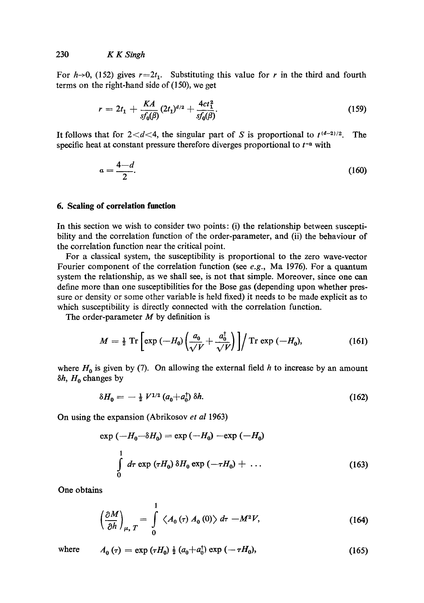For h->0, (152) gives  $r=2t_1$ . Substituting this value for r in the third and fourth terms on the right-hand side of  $(150)$ , we get

$$
r = 2t_1 + \frac{KA}{s f_0(\beta)} (2t_1)^{d/2} + \frac{4ct_1^2}{s f_0(\beta)}.
$$
 (159)

It follows that for  $2 < d < 4$ , the singular part of S is proportional to  $t^{(d-2)/2}$ . specific heat at constant pressure therefore diverges proportional to  $t^{-\alpha}$  with The

$$
a = \frac{4-d}{2}.\tag{160}
$$

#### **6. Scaling of correlation function**

In this section we wish to consider two points: (i) the relationship between susceptibility and the correlation function of the order-parameter, and (ii) the behaviour of the correlation function near the critical point.

For a classical system, the susceptibility is proportional to the zero wave-vector Fourier component of the correlation function (see *e.g.,* Ma 1976). For a quantum system the relationship, as we shall see, is not that simple. Moreover, since one **can**  define more than one susceptibilities for the Bose gas (depending upon whether pressure or density or some other variable is held fixed) it needs to be made explicit as to which susceptibility is directly connected with the correlation function.

The order-parameter  $M$  by definition is

$$
M = \frac{1}{2} \operatorname{Tr} \left[ \exp \left( -H_0 \right) \left( \frac{a_0}{\sqrt{V}} + \frac{a_0^{\dagger}}{\sqrt{V}} \right) \right] / \operatorname{Tr} \exp \left( -H_0 \right), \tag{161}
$$

where  $H_0$  is given by (7). On allowing the external field h to increase by an amount  $\delta h$ ,  $H_0$  changes by

$$
\delta H_0 = -\frac{1}{2} V^{1/2} \left( a_0 + a_0^{\dagger} \right) \delta h. \tag{162}
$$

On using the expansion (Abrikosov *et al* 1963)

$$
\exp(-H_0 - \delta H_0) = \exp(-H_0) - \exp(-H_0)
$$
  

$$
\int_0^1 d\tau \exp(\tau H_0) \delta H_0 \exp(-\tau H_0) + \dots
$$
 (163)

One obtains

$$
\left(\frac{\partial M}{\partial h}\right)_{\mu, T} = \int\limits_{0}^{1} \left\langle A_0(\tau) A_0(0) \right\rangle d\tau - M^2 V, \tag{164}
$$

where 
$$
A_0(\tau) = \exp(\tau H_0) \frac{1}{2} (a_0 + a_0^{\dagger}) \exp(-\tau H_0),
$$
 (165)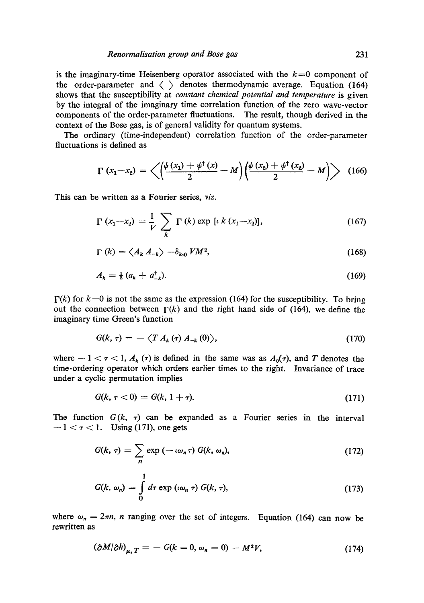is the imaginary-time Heisenberg operator associated with the  $k=0$  component of the order-parameter and  $\langle \rangle$  denotes thermodynamic average. Equation (164) shows that the susceptibility at *constant chemical potential and temperature* is given by the integral of the imaginary time correlation function of the zero wave-vector components of the order-parameter fluctuations. The result, though derived in the context of the Bose gas, is of general validity for quantum systems.

The ordinary (time-independent) correlation function of the order-parameter fluctuations is defined as

$$
\Gamma(x_1-x_2)=\left\langle \left(\frac{\psi(x_1)+\psi^\dagger(x)}{2}-M\right)\left(\frac{\psi(x_2)+\psi^\dagger(x_2)}{2}-M\right)\right\rangle \quad (166)
$$

This can be written as a Fourier series, *viz.* 

$$
\Gamma(x_1 - x_2) = \frac{1}{V} \sum_{k} \Gamma(k) \exp [\iota k (x_1 - x_2)], \qquad (167)
$$

$$
\Gamma(k) = \langle A_k \, A_{-k} \rangle \, -\delta_{k,0} \, V M^2,\tag{168}
$$

$$
A_k = \frac{1}{2} \left( a_k + a_{-k}^\dagger \right). \tag{169}
$$

 $\Gamma(k)$  for  $k=0$  is not the same as the expression (164) for the susceptibility. To bring out the connection between  $\Gamma(k)$  and the right hand side of (164), we define the imaginary time Green's function

$$
G(k,\tau) = -\langle T A_k(\tau) A_{-k}(0) \rangle, \qquad (170)
$$

where  $-1 < \tau < 1$ ,  $A_k(\tau)$  is defined in the same was as  $A_0(\tau)$ , and T denotes the time-ordering operator which orders earlier times to the right. Invariance of trace under a cyclic permutation implies

$$
G(k, \tau < 0) = G(k, 1 + \tau). \tag{171}
$$

The function  $G(k, \tau)$  can be expanded as a Fourier series in the interval  $-1 < \tau < 1$ . Using (171), one gets

$$
G(k, \tau) = \sum_{n} \exp(-\iota \omega_n \tau) G(k, \omega_n), \qquad (172)
$$

$$
G(k, \omega_n) = \int\limits_0^1 d\tau \exp\left(\iota \omega_n \tau\right) G(k, \tau), \tag{173}
$$

where  $\omega_n = 2\pi n$ , *n* ranging over the set of integers. Equation (164) can now be rewritten as

$$
(\partial M/\partial h)_{\mu, T} = -G(k = 0, \omega_n = 0) - M^2 V, \qquad (174)
$$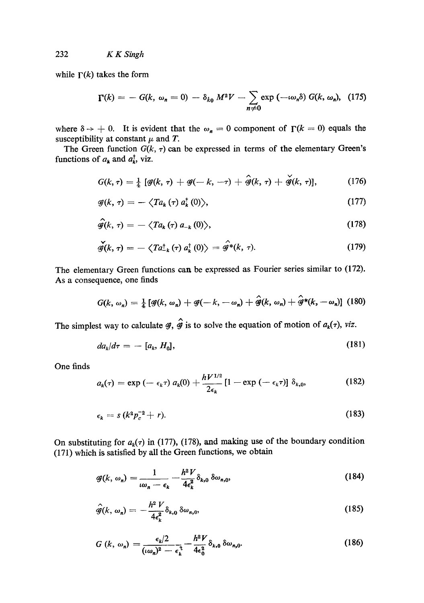while  $\Gamma(k)$  takes the form

$$
\Gamma(k) = - G(k, \omega_n = 0) - \delta_{k_0} M^2 V - \sum_{n \neq 0} \exp(-\iota \omega_n \delta) G(k, \omega_n), \quad (175)
$$

where  $\delta \rightarrow +0$ . It is evident that the  $\omega_n = 0$  component of  $\Gamma(k = 0)$  equals the susceptibility at constant  $\mu$  and T.

The Green function  $G(k, \tau)$  can be expressed in terms of the elementary Green's functions of  $a_k$  and  $a_k^{\dagger}$ , viz.

$$
G(k,\tau)=\frac{1}{4}\left[\mathcal{G}(k,\tau)+\mathcal{G}(-k,-\tau)+\hat{\mathcal{G}}(k,\tau)+\check{\mathcal{G}}(k,\tau)\right],\qquad\qquad(176)
$$

$$
\mathscr{G}(k,\,\tau) = -\left\langle Ta_k\left(\tau\right) a_k^{\dagger}\left(0\right) \right\rangle,\tag{177}
$$

$$
\hat{\mathscr{G}}(k,\,\tau)=-\,\langle Ta_{k}\left(\tau\right)a_{-k}\left(0\right)\rangle,\tag{178}
$$

$$
\check{\mathscr{g}}(k,\,\tau) = -\left\langle Ta_{k}^{\dagger}(\tau) a_{k}^{\dagger}(0) \right\rangle = \hat{\mathscr{g}}^{*}(k,\,\tau). \tag{179}
$$

The elementary Green functions can be expressed as Fourier series similar to (172). As a consequence, one finds

$$
G(k, \omega_n) = \frac{1}{4} \left[ \mathcal{G}(k, \omega_n) + \mathcal{G}(-k, -\omega_n) + \hat{\mathcal{G}}(k, \omega_n) + \hat{\mathcal{G}}^*(k, -\omega_n) \right] (180)
$$

The simplest way to calculate  $\mathscr{G}, \hat{\mathscr{G}}$  is to solve the equation of motion of  $a_k(\tau)$ , *viz.* 

$$
da_k/d\tau = -[a_k, H_0], \qquad (181)
$$

One finds

$$
a_k(\tau) = \exp\left(-\epsilon_k \tau\right) a_k(0) + \frac{hV^{1/2}}{2\epsilon_k} \left[1 - \exp\left(-\epsilon_k \tau\right)\right] \delta_{k,0}, \qquad (182)
$$

$$
\epsilon_k = s\left(k^2 p_c^{-2} + r\right). \tag{183}
$$

On substituting for  $a_k(\tau)$  in (177), (178), and making use of the boundary condition (171) which is satisfied by all the Green functions, we obtain

$$
\mathcal{G}(k, \omega_n) = \frac{1}{\omega_n - \epsilon_k} - \frac{h^2 V}{4\epsilon_k^2} \delta_{k,0} \, \delta \omega_{n,0},\tag{184}
$$

$$
\hat{\mathscr{G}}(k,\,\omega_n)=-\frac{h^2\,V}{4\epsilon_k^2}\delta_{k,0}\,\delta\omega_{n,0},\qquad(185)
$$

$$
G\left(k,\,\omega_{n}\right)=\frac{\epsilon_{k}/2}{\left(\iota\omega_{n}\right)^{2}-\epsilon_{k}^{3}}-\frac{h^{2}V}{4\epsilon_{0}^{2}}\delta_{k,0}\,\delta\omega_{n,0}.\tag{186}
$$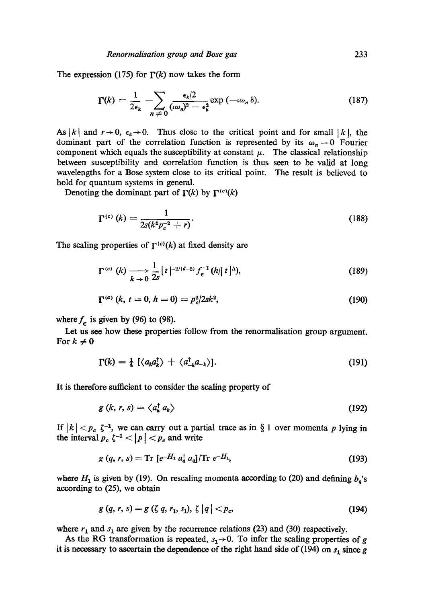The expression (175) for  $\Gamma(k)$  now takes the form

$$
\Gamma(k) = \frac{1}{2\epsilon_k} - \sum_{n \neq 0} \frac{\epsilon_k/2}{(\omega_n)^2 - \epsilon_k^2} \exp(-\omega_n \delta).
$$
 (187)

As | k| and  $r \rightarrow 0$ ,  $\epsilon_k \rightarrow 0$ . Thus close to the critical point and for small | k|, the dominant part of the correlation function is represented by its  $\omega_n = 0$  Fourier component which equals the susceptibility at constant  $\mu$ . The classical relationship between susceptibility and correlation function is thus seen to be valid at long wavelengths for a Bose system close to its critical point. The result is believed to hold for quantum systems in general.

Denoting the dominant part of  $\Gamma(k)$  by  $\Gamma^{(c)}(k)$ 

$$
\Gamma^{(c)}(k) = \frac{1}{2s(k^2 p_c^{-2} + r)}.
$$
\n(188)

The scaling properties of  $\Gamma^{(c)}(k)$  at fixed density are

$$
\Gamma^{(c)}\left(k\right)\xrightarrow[k\to0]{\frac{1}{2s}}|t|^{-2/(d-2)}f_{\epsilon}^{-1}(h||t|^{\Delta}),\tag{189}
$$

$$
\Gamma^{(c)}\left(k,\,t=0,\,h=0\right)=p_c^2/2sk^2,\tag{190}
$$

where  $f_{\epsilon}$  is given by (96) to (98).

Let us see how these properties follow from the renormalisation group argument. For  $k \neq 0$ 

$$
\Gamma(k) = \frac{1}{4} \left[ \langle a_k a_k^{\dagger} \rangle + \langle a_{-k}^{\dagger} a_{-k} \rangle \right]. \tag{191}
$$

It is therefore sufficient to consider the scaling property of

$$
g(k, r, s) = \langle a_k^{\dagger} a_k \rangle \tag{192}
$$

If  $|k| < p_c$   $\zeta^{-1}$ , we can carry out a partial trace as in § 1 over momenta p lying in the interval  $p_c \zeta^{-1} < |p| < p_c$  and write

$$
g(q, r, s) = \text{Tr} [e^{-H_1} a_q^{\dagger} a_q] / \text{Tr} e^{-H_1}, \qquad (193)
$$

where  $H_1$  is given by (19). On rescaling momenta according to (20) and defining  $b_q$ 's according to (25), we obtain

$$
g(q, r, s) = g(\zeta q, r_1, s_1), \zeta |q| < p_c,
$$
\n(194)

where  $r_1$  and  $s_1$  are given by the recurrence relations (23) and (30) respectively.

As the RG transformation is repeated,  $s_1 \rightarrow 0$ . To infer the scaling properties of g it is necessary to ascertain the dependence of the right hand side of (194) on  $s_1$  since g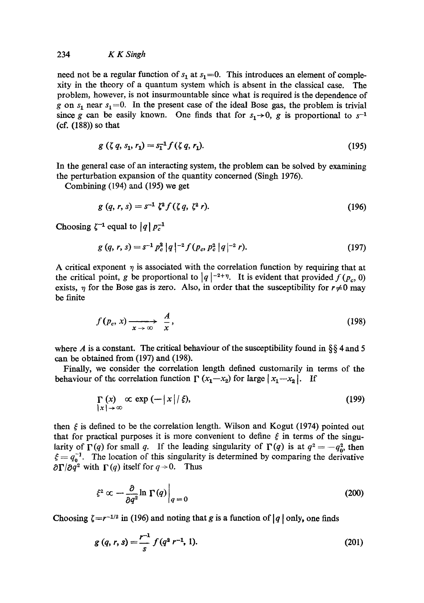# 234 *KKSingh*

need not be a regular function of  $s_1$  at  $s_1=0$ . This introduces an element of complexity in the theory of a quantum system which is absent in the classical case. The problem, however, is not insurmountable since what is required is the dependence of g on  $s_1$  near  $s_1 = 0$ . In the present case of the ideal Bose gas, the problem is trivial since g can be easily known. One finds that for  $s_1 \rightarrow 0$ , g is proportional to  $s^{-1}$ (cf. (188)) so that

$$
g(\zeta q, s_1, r_1) = s_1^{-1} f(\zeta q, r_1). \tag{195}
$$

In the general case of an interacting system, the problem can be solved by examining the perturbation expansion of the quantity concerned (Singh 1976).

Combining (194) and (195) we get

$$
g(q, r, s) = s^{-1} \zeta^2 f(\zeta q, \zeta^2 r). \tag{196}
$$

Choosing  $\zeta^{-1}$  equal to  $|q| p_c^{-1}$ 

$$
g(q, r, s) = s^{-1} p_c^2 |q|^{-2} f(p_c, p_c^2 |q|^{-2} r).
$$
 (197)

A critical exponent  $\eta$  is associated with the correlation function by requiring that at the critical point, g be proportional to  $|q|^{-2+\eta}$ . It is evident that provided  $f(p_c, 0)$ exists,  $\eta$  for the Bose gas is zero. Also, in order that the susceptibility for  $r \neq 0$  may be finite

$$
f(p_c, x) \xrightarrow[x \to \infty]{} \frac{A}{x}, \qquad (198)
$$

where A is a constant. The critical behaviour of the susceptibility found in  $\S$ § 4 and 5 can be obtained from (197) and (198).

Finally, we consider the correlation length defined customarily in terms of the behaviour of the correlation function  $\Gamma(x_1-x_2)$  for large  $|x_1-x_2|$ . If

$$
\Gamma(x) \propto \exp(-|x|/\xi), \tag{199}
$$

then  $\xi$  is defined to be the correlation length. Wilson and Kogut (1974) pointed out that for practical purposes it is more convenient to define  $\xi$  in terms of the singularity of  $\Gamma(q)$  for small q. If the leading singularity of  $\Gamma(q)$  is at  $q^2 = -q_0^2$ , then  $\xi = q_0^{-1}$ . The location of this singularity is determined by comparing the derivative  $\partial \Gamma/\partial q^2$  with  $\Gamma(q)$  itself for  $q \rightarrow 0$ . Thus

$$
\xi^2 \propto -\frac{\partial}{\partial q^2} \ln \left. \Gamma(q) \right|_{q=0} \tag{200}
$$

Choosing  $\zeta = r^{-1/2}$  in (196) and noting that g is a function of  $|q|$  only, one finds

$$
g(q, r, s) = \frac{r^{-1}}{s} f(q^{2} r^{-1}, 1).
$$
 (201)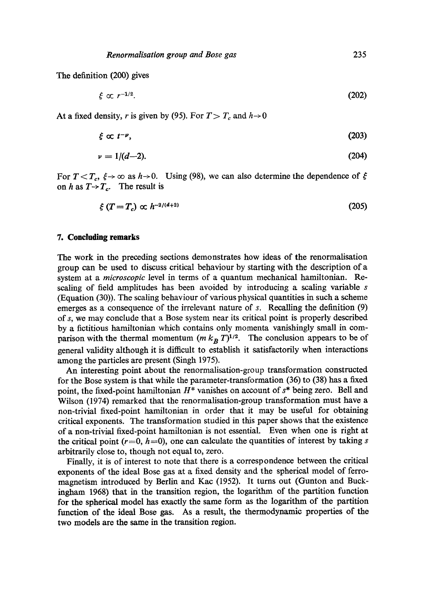The definition (200) gives

$$
\xi \propto r^{-1/2}.\tag{202}
$$

At a fixed density, r is given by (95). For  $T>T_c$  and  $h\rightarrow 0$ 

$$
\xi \propto t^{-\nu},\tag{203}
$$

$$
\nu = 1/(d-2). \tag{204}
$$

For  $T < T_c$ ,  $\xi \rightarrow \infty$  as  $h \rightarrow 0$ . Using (98), we can also determine the dependence of on *h* as  $T \rightarrow T_c$ . The result is

$$
\xi \left( T = T_c \right) \propto h^{-2/(d+2)} \tag{205}
$$

#### **7. Concluding remarks**

The work in the preceding sections demonstrates how ideas of the renormalisation group can be used to discuss critical behaviour by starting with the description of a system at a *microscopic* level in terms of a quantum mechanical hamiltonian. Rescaling of field amplitudes has been avoided by introducing a scaling variable s (Equation (30)). The scaling behaviour of various physical quantities in such a scheme emerges as a consequence of the irrelevant nature of s. Recalling the definition (9) of s, we may conclude that a Bose system near its critical point is properly described by a fictitious hamiltonian which contains only momenta vanishingly small in comparison with the thermal momentum  $(m k_B T)^{1/2}$ . The conclusion appears to be of general validity although it is difficult to establish it satisfactorily when interactions among the particles are present (Singh 1975).

An interesting point about the renormalisation-group transformation constructed for the Bose system is that while the parameter-transformation (36) to (38) has a fixed point, the fixed-point hamiltonian  $H^*$  vanishes on account of  $s^*$  being zero. Bell and Wilson (1974) remarked that the renormalisation-group transformation must have a non-trivial fixed-point hamiltonian in order that it may be useful for obtaining critical exponents. The transformation studied in this paper shows that the existence of a non-trivial fixed-point hamiltonian is not essential. Even when one is right at the critical point ( $r=0$ ,  $h=0$ ), one can calculate the quantities of interest by taking s arbitrarily close to, though not equal to, zero.

Finally, it is of interest to note that there is a correspondence between the critical exponents of the ideal Bose gas at a fixed density and the spherical model of ferromagnetism introduced by Berlin and Kac (1952). It turns out (Gunton and Buckingham 1968) that in the transition region, the logarithm of the partition function for the spherical model has exactly the same form as the logarithm of the partition function of the ideal Bose gas. As a result, the thermodynamic properties of the two models are the same in the transition region.